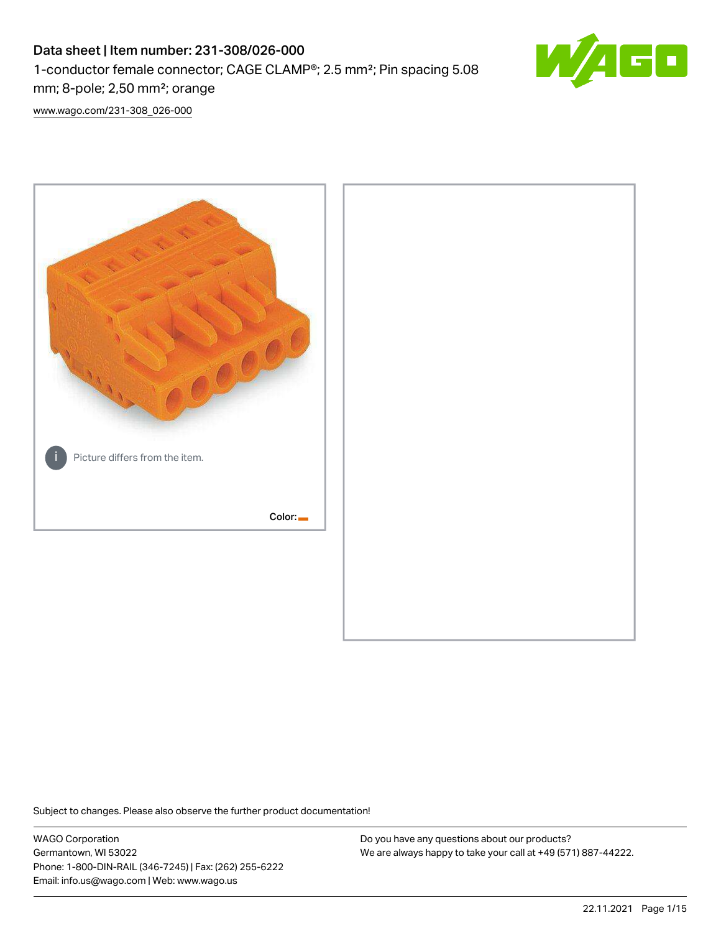# Data sheet | Item number: 231-308/026-000 1-conductor female connector; CAGE CLAMP®; 2.5 mm²; Pin spacing 5.08 mm; 8-pole; 2,50 mm²; orange



[www.wago.com/231-308\\_026-000](http://www.wago.com/231-308_026-000)



Subject to changes. Please also observe the further product documentation!

WAGO Corporation Germantown, WI 53022 Phone: 1-800-DIN-RAIL (346-7245) | Fax: (262) 255-6222 Email: info.us@wago.com | Web: www.wago.us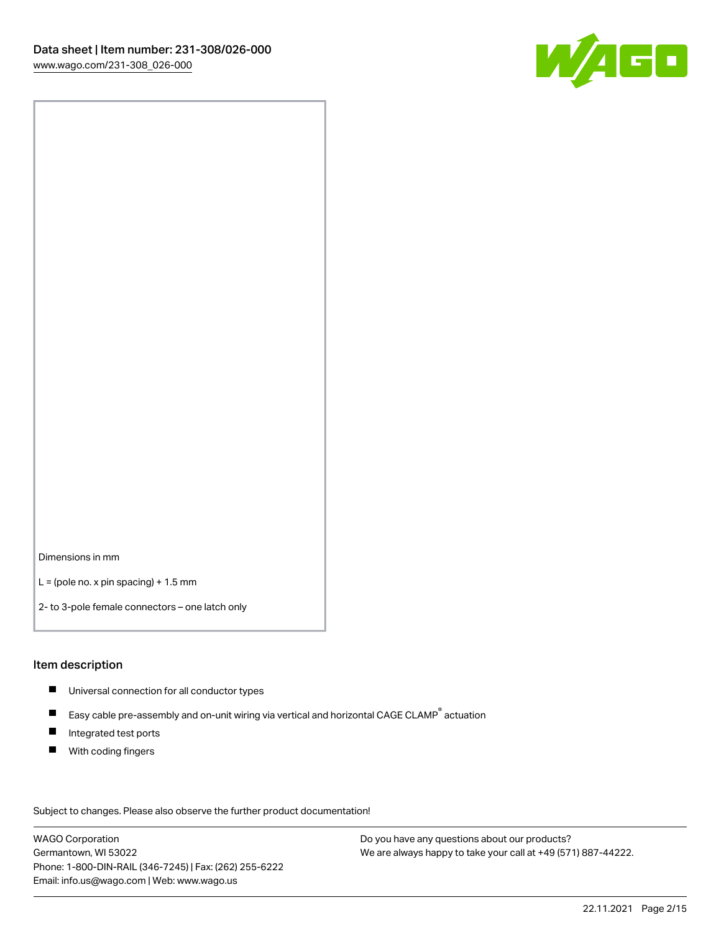

Dimensions in mm

 $L =$  (pole no. x pin spacing) + 1.5 mm

2- to 3-pole female connectors – one latch only

#### Item description

- **Universal connection for all conductor types**
- Easy cable pre-assembly and on-unit wiring via vertical and horizontal CAGE CLAMP<sup>®</sup> actuation  $\blacksquare$
- $\blacksquare$ Integrated test ports
- $\blacksquare$ With coding fingers

Subject to changes. Please also observe the further product documentation! Data

WAGO Corporation Germantown, WI 53022 Phone: 1-800-DIN-RAIL (346-7245) | Fax: (262) 255-6222 Email: info.us@wago.com | Web: www.wago.us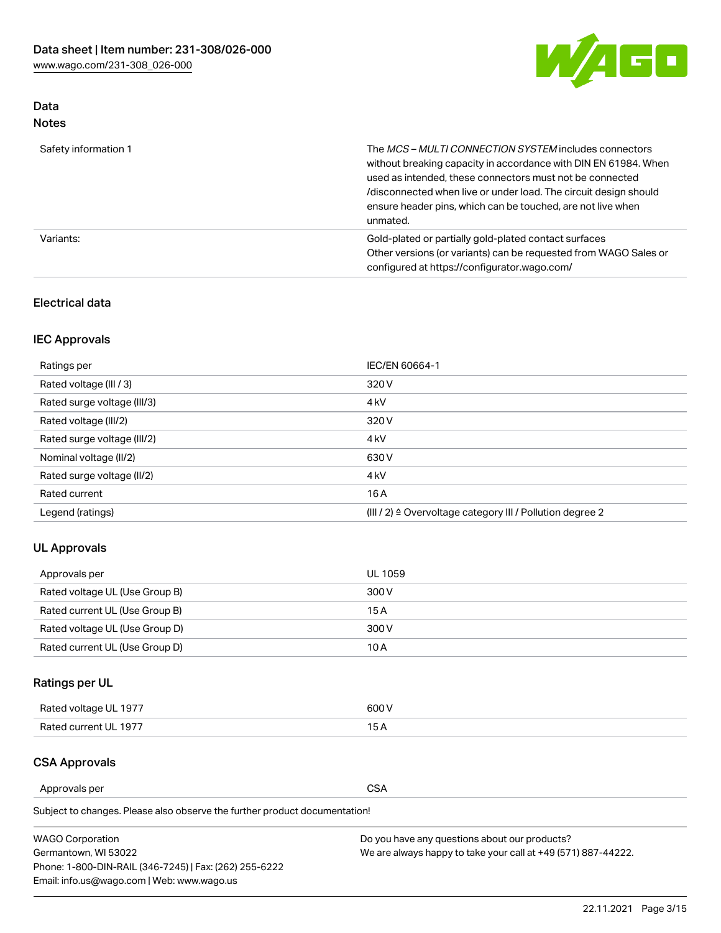

## Data Notes

| Safety information 1 | The MCS-MULTI CONNECTION SYSTEM includes connectors<br>without breaking capacity in accordance with DIN EN 61984. When<br>used as intended, these connectors must not be connected<br>/disconnected when live or under load. The circuit design should<br>ensure header pins, which can be touched, are not live when<br>unmated. |
|----------------------|-----------------------------------------------------------------------------------------------------------------------------------------------------------------------------------------------------------------------------------------------------------------------------------------------------------------------------------|
| Variants:            | Gold-plated or partially gold-plated contact surfaces<br>Other versions (or variants) can be requested from WAGO Sales or<br>configured at https://configurator.wago.com/                                                                                                                                                         |

#### Electrical data

## IEC Approvals

| Ratings per                 | IEC/EN 60664-1                                                        |
|-----------------------------|-----------------------------------------------------------------------|
| Rated voltage (III / 3)     | 320 V                                                                 |
| Rated surge voltage (III/3) | 4 <sub>k</sub> V                                                      |
| Rated voltage (III/2)       | 320 V                                                                 |
| Rated surge voltage (III/2) | 4 <sub>k</sub> V                                                      |
| Nominal voltage (II/2)      | 630 V                                                                 |
| Rated surge voltage (II/2)  | 4 <sub>k</sub> V                                                      |
| Rated current               | 16 A                                                                  |
| Legend (ratings)            | $(III / 2)$ $\triangle$ Overvoltage category III / Pollution degree 2 |

### UL Approvals

| Approvals per                  | UL 1059 |
|--------------------------------|---------|
| Rated voltage UL (Use Group B) | 300 V   |
| Rated current UL (Use Group B) | 15 A    |
| Rated voltage UL (Use Group D) | 300 V   |
| Rated current UL (Use Group D) | 10 A    |

# Ratings per UL

| Rated voltage UL 1977 | 300 V |
|-----------------------|-------|
| Rated current UL 1977 |       |

#### CSA Approvals

Approvals per CSA

Subject to changes. Please also observe the further product documentation!

| <b>WAGO Corporation</b>                                | Do you have any questions about our products?                 |
|--------------------------------------------------------|---------------------------------------------------------------|
| Germantown, WI 53022                                   | We are always happy to take your call at +49 (571) 887-44222. |
| Phone: 1-800-DIN-RAIL (346-7245)   Fax: (262) 255-6222 |                                                               |
| Email: info.us@wago.com   Web: www.wago.us             |                                                               |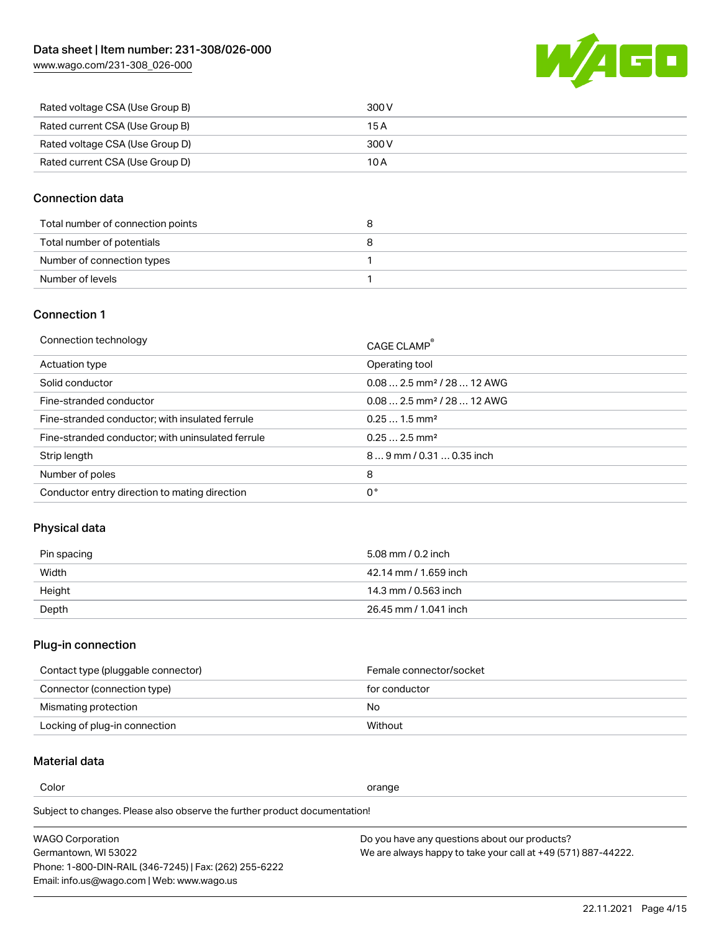

| Rated voltage CSA (Use Group B) | 300 V |
|---------------------------------|-------|
| Rated current CSA (Use Group B) | 15 A  |
| Rated voltage CSA (Use Group D) | 300 V |
| Rated current CSA (Use Group D) | 10 A  |

#### Connection data

| Total number of connection points |  |
|-----------------------------------|--|
| Total number of potentials        |  |
| Number of connection types        |  |
| Number of levels                  |  |

#### Connection 1

| Connection technology                             | CAGE CLAMP®                            |
|---------------------------------------------------|----------------------------------------|
| Actuation type                                    | Operating tool                         |
| Solid conductor                                   | $0.082.5$ mm <sup>2</sup> / 28  12 AWG |
| Fine-stranded conductor                           | $0.082.5$ mm <sup>2</sup> / 28  12 AWG |
| Fine-stranded conductor; with insulated ferrule   | $0.251.5$ mm <sup>2</sup>              |
| Fine-stranded conductor; with uninsulated ferrule | $0.252.5$ mm <sup>2</sup>              |
| Strip length                                      | $89$ mm $/ 0.310.35$ inch              |
| Number of poles                                   | 8                                      |
| Conductor entry direction to mating direction     | 0°                                     |

# Physical data

| Pin spacing | 5.08 mm / 0.2 inch    |
|-------------|-----------------------|
| Width       | 42.14 mm / 1.659 inch |
| Height      | 14.3 mm / 0.563 inch  |
| Depth       | 26.45 mm / 1.041 inch |

# Plug-in connection

| Contact type (pluggable connector) | Female connector/socket |
|------------------------------------|-------------------------|
| Connector (connection type)        | for conductor           |
| Mismating protection               | No                      |
| Locking of plug-in connection      | Without                 |

## Material data

Color contracts and contracts of the contracts of the contracts of the contracts of the contracts of the contracts of the contracts of the contracts of the contracts of the contracts of the contracts of the contracts of th

Subject to changes. Please also observe the further product documentation! Material group I

| <b>WAGO Corporation</b>                                | Do you have any questions about our products?                 |
|--------------------------------------------------------|---------------------------------------------------------------|
| Germantown, WI 53022                                   | We are always happy to take your call at +49 (571) 887-44222. |
| Phone: 1-800-DIN-RAIL (346-7245)   Fax: (262) 255-6222 |                                                               |
| Email: info.us@wago.com   Web: www.wago.us             |                                                               |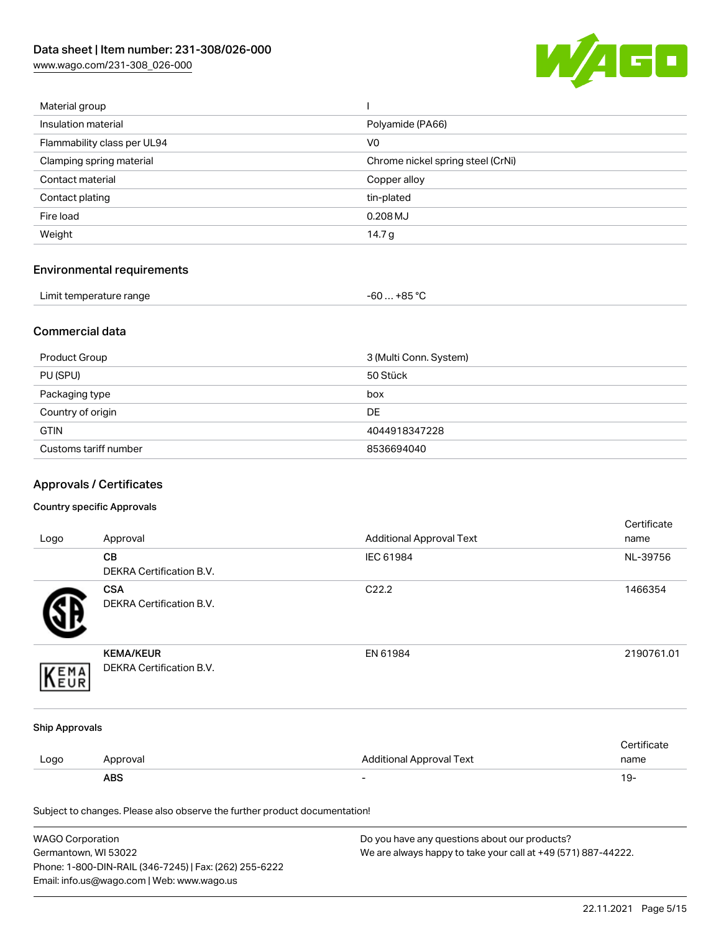

| Material group              |                                   |
|-----------------------------|-----------------------------------|
| Insulation material         | Polyamide (PA66)                  |
| Flammability class per UL94 | V <sub>0</sub>                    |
| Clamping spring material    | Chrome nickel spring steel (CrNi) |
| Contact material            | Copper alloy                      |
| Contact plating             | tin-plated                        |
| Fire load                   | $0.208$ MJ                        |
| Weight                      | 14.7 $g$                          |
|                             |                                   |

# Environmental requirements

| Limit temperature range | $-60+85 °C$ |  |
|-------------------------|-------------|--|
|-------------------------|-------------|--|

#### Commercial data

| Product Group         | 3 (Multi Conn. System) |
|-----------------------|------------------------|
| PU (SPU)              | 50 Stück               |
| Packaging type        | box                    |
| Country of origin     | <b>DE</b>              |
| <b>GTIN</b>           | 4044918347228          |
| Customs tariff number | 8536694040             |

# Approvals / Certificates

#### Country specific Approvals

| Logo                  | Approval                                                                   | <b>Additional Approval Text</b> | Certificate<br>name |
|-----------------------|----------------------------------------------------------------------------|---------------------------------|---------------------|
|                       | CВ<br>DEKRA Certification B.V.                                             | IEC 61984                       | NL-39756            |
|                       | <b>CSA</b><br><b>DEKRA Certification B.V.</b>                              | C22.2                           | 1466354             |
| EMA                   | <b>KEMA/KEUR</b><br>DEKRA Certification B.V.                               | EN 61984                        | 2190761.01          |
| <b>Ship Approvals</b> |                                                                            |                                 |                     |
| Logo                  | Approval                                                                   | <b>Additional Approval Text</b> | Certificate<br>name |
|                       | <b>ABS</b>                                                                 |                                 | $19 -$              |
|                       | Subject to changes. Please also observe the further product documentation! |                                 |                     |

| WAGO Corporation                                       | Do you have any questions about our products?                 |
|--------------------------------------------------------|---------------------------------------------------------------|
| Germantown, WI 53022                                   | We are always happy to take your call at +49 (571) 887-44222. |
| Phone: 1-800-DIN-RAIL (346-7245)   Fax: (262) 255-6222 |                                                               |
| Email: info.us@wago.com   Web: www.wago.us             |                                                               |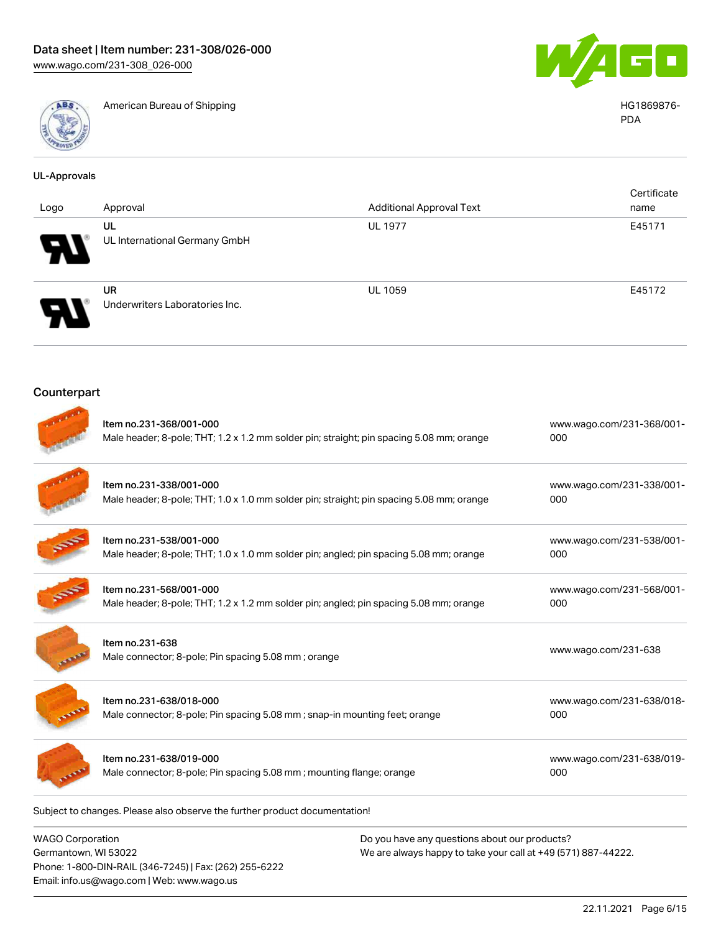

American Bureau of Shipping HG1869876-



PDA

| <b>UL-Approvals</b> |                                                                                                                     |                                 |                                  |
|---------------------|---------------------------------------------------------------------------------------------------------------------|---------------------------------|----------------------------------|
| Logo                | Approval                                                                                                            | <b>Additional Approval Text</b> | Certificate<br>name              |
|                     | <b>UL</b><br>UL International Germany GmbH                                                                          | <b>UL 1977</b>                  | E45171                           |
|                     | <b>UR</b><br>Underwriters Laboratories Inc.                                                                         | <b>UL 1059</b>                  | E45172                           |
| Counterpart         |                                                                                                                     |                                 |                                  |
|                     | Item no.231-368/001-000<br>Male header; 8-pole; THT; 1.2 x 1.2 mm solder pin; straight; pin spacing 5.08 mm; orange |                                 | www.wago.com/231-368/001-<br>000 |
|                     | Item no.231-338/001-000<br>Male header; 8-pole; THT; 1.0 x 1.0 mm solder pin; straight; pin spacing 5.08 mm; orange |                                 | www.wago.com/231-338/001-<br>000 |
|                     | Item no.231-538/001-000<br>Male header; 8-pole; THT; 1.0 x 1.0 mm solder pin; angled; pin spacing 5.08 mm; orange   |                                 | www.wago.com/231-538/001-<br>000 |
|                     | Item no.231-568/001-000<br>Male header; 8-pole; THT; 1.2 x 1.2 mm solder pin; angled; pin spacing 5.08 mm; orange   |                                 | www.wago.com/231-568/001-<br>000 |
|                     | Item no.231-638<br>Male connector; 8-pole; Pin spacing 5.08 mm; orange                                              |                                 | www.wago.com/231-638             |
|                     | Item no.231-638/018-000<br>Male connector; 8-pole; Pin spacing 5.08 mm; snap-in mounting feet; orange               |                                 | www.wago.com/231-638/018-<br>000 |
|                     | Item no.231-638/019-000<br>Male connector; 8-pole; Pin spacing 5.08 mm; mounting flange; orange                     |                                 | www.wago.com/231-638/019-<br>000 |
|                     |                                                                                                                     |                                 |                                  |

Subject to changes. Please also observe the further product documentation!

WAGO Corporation Germantown, WI 53022 Phone: 1-800-DIN-RAIL (346-7245) | Fax: (262) 255-6222 Email: info.us@wago.com | Web: www.wago.us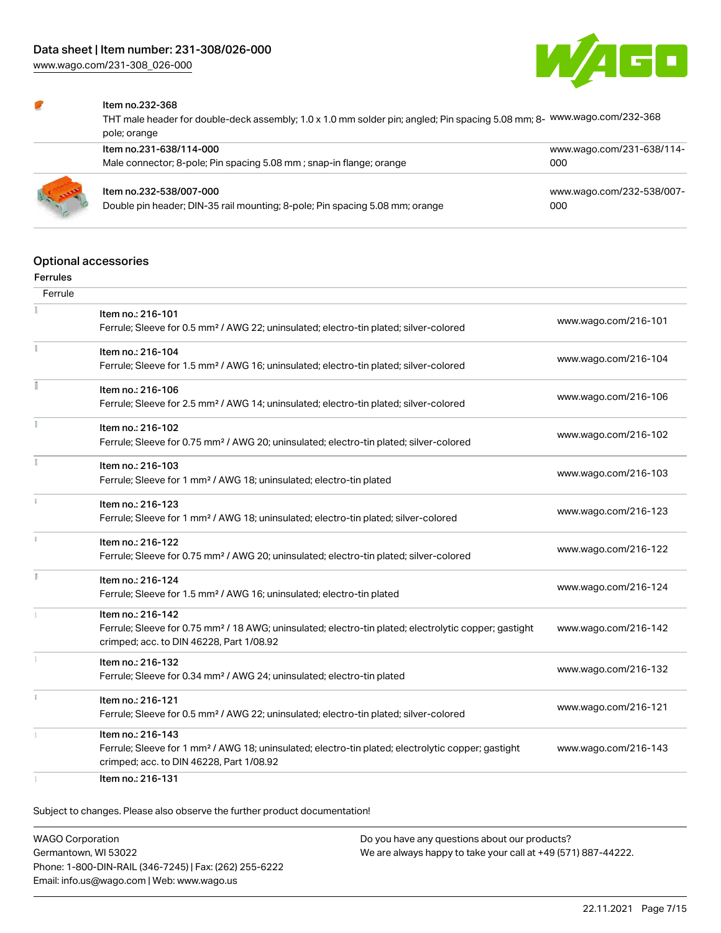

#### Item no.232-368

THT male header for double-deck assembly; 1.0 x 1.0 mm solder pin; angled; Pin spacing 5.08 mm; 8- [www.wago.com/232-368](https://www.wago.com/232-368) pole; orange

| Item no.231-638/114-000<br>Male connector; 8-pole; Pin spacing 5.08 mm; snap-in flange; orange          | www.wago.com/231-638/114-<br>000 |
|---------------------------------------------------------------------------------------------------------|----------------------------------|
| Item no.232-538/007-000<br>Double pin header; DIN-35 rail mounting; 8-pole; Pin spacing 5.08 mm; orange | www.wago.com/232-538/007-<br>000 |

#### Optional accessories

#### Ferrules

| Ferrule |                                                                                                                                                                                    |                      |
|---------|------------------------------------------------------------------------------------------------------------------------------------------------------------------------------------|----------------------|
|         | Item no.: 216-101<br>Ferrule; Sleeve for 0.5 mm <sup>2</sup> / AWG 22; uninsulated; electro-tin plated; silver-colored                                                             | www.wago.com/216-101 |
|         | Item no.: 216-104<br>Ferrule; Sleeve for 1.5 mm <sup>2</sup> / AWG 16; uninsulated; electro-tin plated; silver-colored                                                             | www.wago.com/216-104 |
|         | Item no.: 216-106<br>Ferrule; Sleeve for 2.5 mm <sup>2</sup> / AWG 14; uninsulated; electro-tin plated; silver-colored                                                             | www.wago.com/216-106 |
|         | Item no.: 216-102<br>Ferrule; Sleeve for 0.75 mm <sup>2</sup> / AWG 20; uninsulated; electro-tin plated; silver-colored                                                            | www.wago.com/216-102 |
| Ť.      | Item no.: 216-103<br>Ferrule; Sleeve for 1 mm <sup>2</sup> / AWG 18; uninsulated; electro-tin plated                                                                               | www.wago.com/216-103 |
|         | Item no.: 216-123<br>Ferrule; Sleeve for 1 mm <sup>2</sup> / AWG 18; uninsulated; electro-tin plated; silver-colored                                                               | www.wago.com/216-123 |
|         | Item no.: 216-122<br>Ferrule; Sleeve for 0.75 mm <sup>2</sup> / AWG 20; uninsulated; electro-tin plated; silver-colored                                                            | www.wago.com/216-122 |
| I.      | Item no.: 216-124<br>Ferrule; Sleeve for 1.5 mm <sup>2</sup> / AWG 16; uninsulated; electro-tin plated                                                                             | www.wago.com/216-124 |
|         | Item no.: 216-142<br>Ferrule; Sleeve for 0.75 mm <sup>2</sup> / 18 AWG; uninsulated; electro-tin plated; electrolytic copper; gastight<br>crimped; acc. to DIN 46228, Part 1/08.92 | www.wago.com/216-142 |
|         | Item no.: 216-132<br>Ferrule; Sleeve for 0.34 mm <sup>2</sup> / AWG 24; uninsulated; electro-tin plated                                                                            | www.wago.com/216-132 |
|         | Item no.: 216-121<br>Ferrule; Sleeve for 0.5 mm <sup>2</sup> / AWG 22; uninsulated; electro-tin plated; silver-colored                                                             | www.wago.com/216-121 |
|         | Item no.: 216-143<br>Ferrule; Sleeve for 1 mm <sup>2</sup> / AWG 18; uninsulated; electro-tin plated; electrolytic copper; gastight<br>crimped; acc. to DIN 46228, Part 1/08.92    | www.wago.com/216-143 |
|         | Item no.: 216-131                                                                                                                                                                  |                      |

Subject to changes. Please also observe the further product documentation!

WAGO Corporation Germantown, WI 53022 Phone: 1-800-DIN-RAIL (346-7245) | Fax: (262) 255-6222 Email: info.us@wago.com | Web: www.wago.us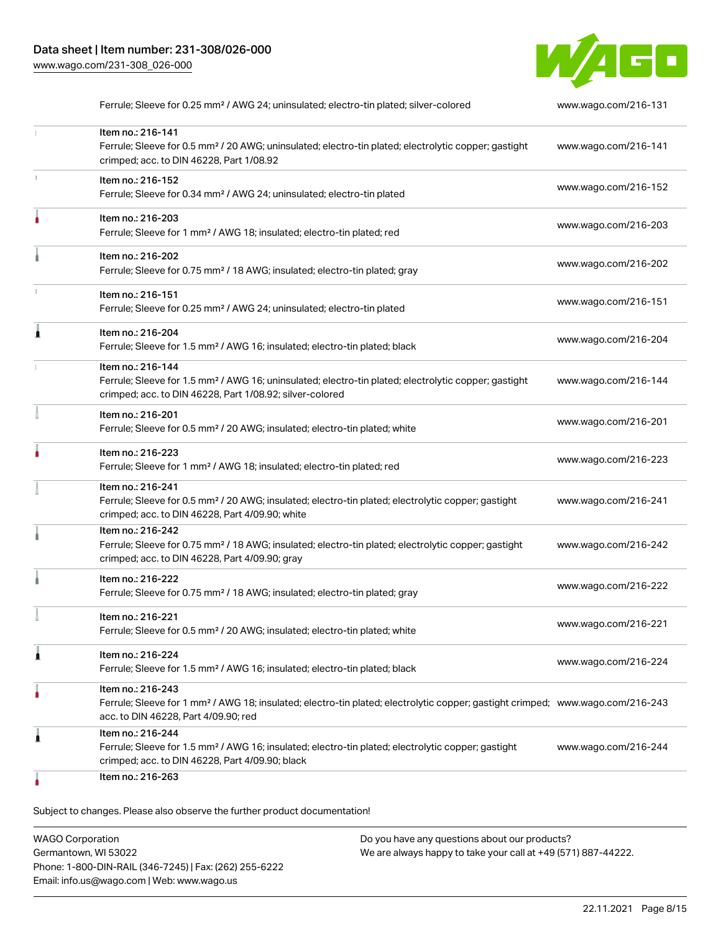

|   | Ferrule; Sleeve for 0.25 mm <sup>2</sup> / AWG 24; uninsulated; electro-tin plated; silver-colored                                                                                                      | www.wago.com/216-131 |
|---|---------------------------------------------------------------------------------------------------------------------------------------------------------------------------------------------------------|----------------------|
|   | Item no.: 216-141<br>Ferrule; Sleeve for 0.5 mm <sup>2</sup> / 20 AWG; uninsulated; electro-tin plated; electrolytic copper; gastight<br>crimped; acc. to DIN 46228, Part 1/08.92                       | www.wago.com/216-141 |
|   | Item no.: 216-152<br>Ferrule; Sleeve for 0.34 mm <sup>2</sup> / AWG 24; uninsulated; electro-tin plated                                                                                                 | www.wago.com/216-152 |
|   | Item no.: 216-203<br>Ferrule; Sleeve for 1 mm <sup>2</sup> / AWG 18; insulated; electro-tin plated; red                                                                                                 | www.wago.com/216-203 |
|   | Item no.: 216-202<br>Ferrule; Sleeve for 0.75 mm <sup>2</sup> / 18 AWG; insulated; electro-tin plated; gray                                                                                             | www.wago.com/216-202 |
|   | Item no.: 216-151<br>Ferrule; Sleeve for 0.25 mm <sup>2</sup> / AWG 24; uninsulated; electro-tin plated                                                                                                 | www.wago.com/216-151 |
|   | Item no.: 216-204<br>Ferrule; Sleeve for 1.5 mm <sup>2</sup> / AWG 16; insulated; electro-tin plated; black                                                                                             | www.wago.com/216-204 |
|   | Item no.: 216-144<br>Ferrule; Sleeve for 1.5 mm <sup>2</sup> / AWG 16; uninsulated; electro-tin plated; electrolytic copper; gastight<br>crimped; acc. to DIN 46228, Part 1/08.92; silver-colored       | www.wago.com/216-144 |
|   | Item no.: 216-201<br>Ferrule; Sleeve for 0.5 mm <sup>2</sup> / 20 AWG; insulated; electro-tin plated; white                                                                                             | www.wago.com/216-201 |
|   | Item no.: 216-223<br>Ferrule; Sleeve for 1 mm <sup>2</sup> / AWG 18; insulated; electro-tin plated; red                                                                                                 | www.wago.com/216-223 |
|   | Item no.: 216-241<br>Ferrule; Sleeve for 0.5 mm <sup>2</sup> / 20 AWG; insulated; electro-tin plated; electrolytic copper; gastight<br>crimped; acc. to DIN 46228, Part 4/09.90; white                  | www.wago.com/216-241 |
|   | Item no.: 216-242<br>Ferrule; Sleeve for 0.75 mm <sup>2</sup> / 18 AWG; insulated; electro-tin plated; electrolytic copper; gastight<br>crimped; acc. to DIN 46228, Part 4/09.90; gray                  | www.wago.com/216-242 |
|   | Item no.: 216-222<br>Ferrule; Sleeve for 0.75 mm <sup>2</sup> / 18 AWG; insulated; electro-tin plated; gray                                                                                             | www.wago.com/216-222 |
|   | Item no.: 216-221<br>Ferrule; Sleeve for 0.5 mm <sup>2</sup> / 20 AWG; insulated; electro-tin plated; white                                                                                             | www.wago.com/216-221 |
| 1 | Item no.: 216-224<br>Ferrule; Sleeve for 1.5 mm <sup>2</sup> / AWG 16; insulated; electro-tin plated; black                                                                                             | www.wago.com/216-224 |
|   | Item no.: 216-243<br>Ferrule; Sleeve for 1 mm <sup>2</sup> / AWG 18; insulated; electro-tin plated; electrolytic copper; gastight crimped; www.wago.com/216-243<br>acc. to DIN 46228, Part 4/09.90; red |                      |
| 1 | Item no.: 216-244<br>Ferrule; Sleeve for 1.5 mm <sup>2</sup> / AWG 16; insulated; electro-tin plated; electrolytic copper; gastight<br>crimped; acc. to DIN 46228, Part 4/09.90; black                  | www.wago.com/216-244 |
|   | Item no.: 216-263                                                                                                                                                                                       |                      |

Subject to changes. Please also observe the further product documentation!

| WAGO Corporation                                       | Do you have any questions about our products?                 |
|--------------------------------------------------------|---------------------------------------------------------------|
| Germantown, WI 53022                                   | We are always happy to take your call at +49 (571) 887-44222. |
| Phone: 1-800-DIN-RAIL (346-7245)   Fax: (262) 255-6222 |                                                               |
| Email: info.us@wago.com   Web: www.wago.us             |                                                               |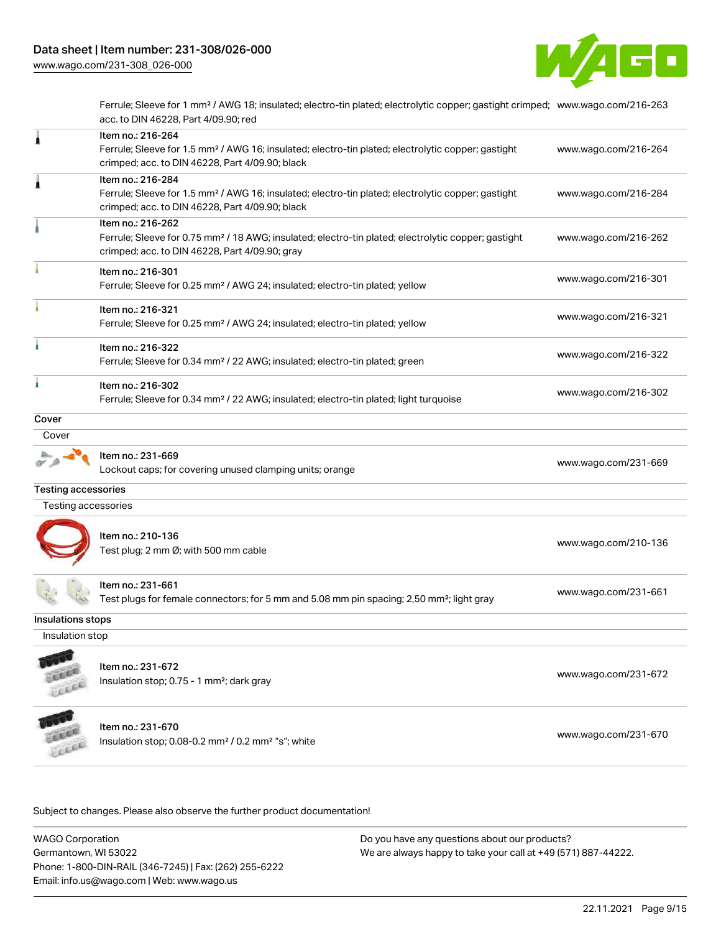

Ferrule; Sleeve for 1 mm² / AWG 18; insulated; electro-tin plated; electrolytic copper; gastight crimped; [www.wago.com/216-263](http://www.wago.com/216-263) acc. to DIN 46228, Part 4/09.90; red

| 1                          | Item no.: 216-264<br>Ferrule; Sleeve for 1.5 mm <sup>2</sup> / AWG 16; insulated; electro-tin plated; electrolytic copper; gastight<br>crimped; acc. to DIN 46228, Part 4/09.90; black | www.wago.com/216-264 |
|----------------------------|----------------------------------------------------------------------------------------------------------------------------------------------------------------------------------------|----------------------|
| 1                          | Item no.: 216-284<br>Ferrule; Sleeve for 1.5 mm <sup>2</sup> / AWG 16; insulated; electro-tin plated; electrolytic copper; gastight<br>crimped; acc. to DIN 46228, Part 4/09.90; black | www.wago.com/216-284 |
|                            | Item no.: 216-262<br>Ferrule; Sleeve for 0.75 mm <sup>2</sup> / 18 AWG; insulated; electro-tin plated; electrolytic copper; gastight<br>crimped; acc. to DIN 46228, Part 4/09.90; gray | www.wago.com/216-262 |
|                            | Item no.: 216-301<br>Ferrule; Sleeve for 0.25 mm <sup>2</sup> / AWG 24; insulated; electro-tin plated; yellow                                                                          | www.wago.com/216-301 |
|                            | Item no.: 216-321<br>Ferrule; Sleeve for 0.25 mm <sup>2</sup> / AWG 24; insulated; electro-tin plated; yellow                                                                          | www.wago.com/216-321 |
|                            | Item no.: 216-322<br>Ferrule; Sleeve for 0.34 mm <sup>2</sup> / 22 AWG; insulated; electro-tin plated; green                                                                           | www.wago.com/216-322 |
|                            | Item no.: 216-302<br>Ferrule; Sleeve for 0.34 mm <sup>2</sup> / 22 AWG; insulated; electro-tin plated; light turquoise                                                                 | www.wago.com/216-302 |
| Cover                      |                                                                                                                                                                                        |                      |
| Cover                      |                                                                                                                                                                                        |                      |
|                            | Item no.: 231-669<br>Lockout caps; for covering unused clamping units; orange                                                                                                          | www.wago.com/231-669 |
| <b>Testing accessories</b> |                                                                                                                                                                                        |                      |
| Testing accessories        |                                                                                                                                                                                        |                      |
|                            | Item no.: 210-136<br>Test plug; 2 mm Ø; with 500 mm cable                                                                                                                              | www.wago.com/210-136 |
|                            | Item no.: 231-661<br>Test plugs for female connectors; for 5 mm and 5.08 mm pin spacing; 2,50 mm <sup>2</sup> ; light gray                                                             | www.wago.com/231-661 |
| Insulations stops          |                                                                                                                                                                                        |                      |
| Insulation stop            |                                                                                                                                                                                        |                      |
| <b>COLOR</b>               | Item no.: 231-672<br>Insulation stop; 0.75 - 1 mm <sup>2</sup> ; dark gray                                                                                                             | www.wago.com/231-672 |
|                            | Item no.: 231-670<br>Insulation stop; 0.08-0.2 mm <sup>2</sup> / 0.2 mm <sup>2</sup> "s"; white                                                                                        | www.wago.com/231-670 |

Subject to changes. Please also observe the further product documentation!

WAGO Corporation Germantown, WI 53022 Phone: 1-800-DIN-RAIL (346-7245) | Fax: (262) 255-6222 Email: info.us@wago.com | Web: www.wago.us Do you have any questions about our products? We are always happy to take your call at +49 (571) 887-44222.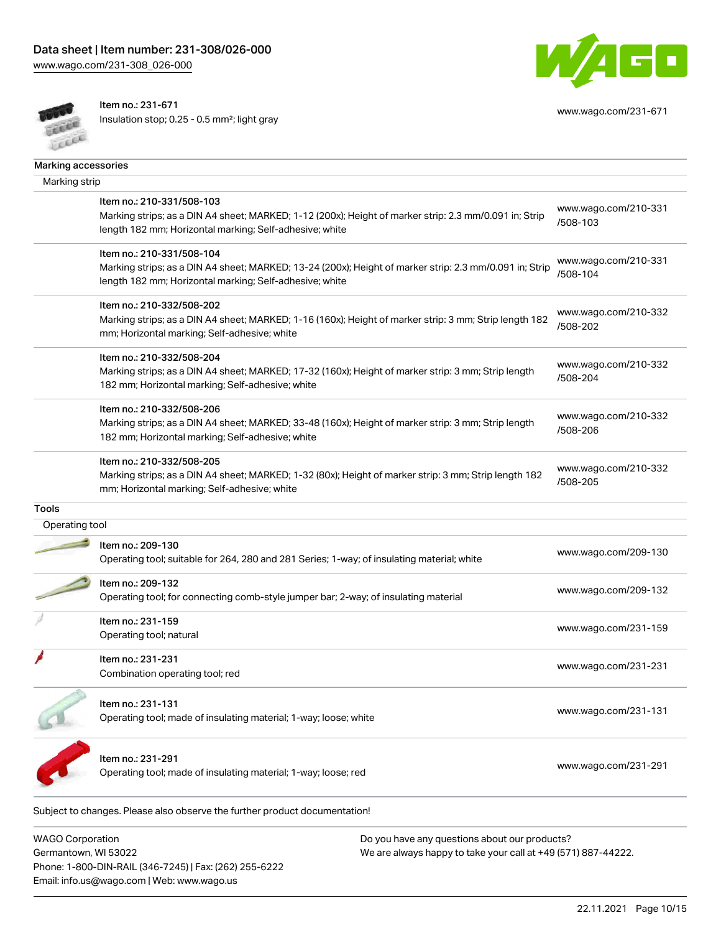

Item no.: 231-671

Insulation stop; 0.25 - 0.5 mm²; light gray



[www.wago.com/231-671](http://www.wago.com/231-671)

|                | Marking accessories                                                                                     |                                  |
|----------------|---------------------------------------------------------------------------------------------------------|----------------------------------|
| Marking strip  |                                                                                                         |                                  |
|                | Item no.: 210-331/508-103                                                                               | www.wago.com/210-331             |
|                | Marking strips; as a DIN A4 sheet; MARKED; 1-12 (200x); Height of marker strip: 2.3 mm/0.091 in; Strip  | /508-103                         |
|                | length 182 mm; Horizontal marking; Self-adhesive; white                                                 |                                  |
|                | Item no.: 210-331/508-104                                                                               |                                  |
|                | Marking strips; as a DIN A4 sheet; MARKED; 13-24 (200x); Height of marker strip: 2.3 mm/0.091 in; Strip | www.wago.com/210-331<br>/508-104 |
|                | length 182 mm; Horizontal marking; Self-adhesive; white                                                 |                                  |
|                | Item no.: 210-332/508-202                                                                               |                                  |
|                | Marking strips; as a DIN A4 sheet; MARKED; 1-16 (160x); Height of marker strip: 3 mm; Strip length 182  | www.wago.com/210-332             |
|                | mm; Horizontal marking; Self-adhesive; white                                                            | /508-202                         |
|                | Item no.: 210-332/508-204                                                                               |                                  |
|                | Marking strips; as a DIN A4 sheet; MARKED; 17-32 (160x); Height of marker strip: 3 mm; Strip length     | www.wago.com/210-332             |
|                | 182 mm; Horizontal marking; Self-adhesive; white                                                        | /508-204                         |
|                | Item no.: 210-332/508-206                                                                               |                                  |
|                | Marking strips; as a DIN A4 sheet; MARKED; 33-48 (160x); Height of marker strip: 3 mm; Strip length     | www.wago.com/210-332<br>/508-206 |
|                | 182 mm; Horizontal marking; Self-adhesive; white                                                        |                                  |
|                | Item no.: 210-332/508-205                                                                               |                                  |
|                | Marking strips; as a DIN A4 sheet; MARKED; 1-32 (80x); Height of marker strip: 3 mm; Strip length 182   | www.wago.com/210-332             |
|                | mm; Horizontal marking; Self-adhesive; white                                                            | /508-205                         |
| <b>Tools</b>   |                                                                                                         |                                  |
| Operating tool |                                                                                                         |                                  |
|                | Item no.: 209-130                                                                                       | www.wago.com/209-130             |
|                | Operating tool; suitable for 264, 280 and 281 Series; 1-way; of insulating material; white              |                                  |
|                | Item no.: 209-132                                                                                       |                                  |
|                | Operating tool; for connecting comb-style jumper bar; 2-way; of insulating material                     | www.wago.com/209-132             |
|                | Item no.: 231-159                                                                                       |                                  |
|                | Operating tool; natural                                                                                 | www.wago.com/231-159             |
|                | Item no.: 231-231                                                                                       |                                  |
|                | Combination operating tool; red                                                                         | www.wago.com/231-231             |
|                |                                                                                                         |                                  |
|                | Item no.: 231-131                                                                                       | www.wago.com/231-131             |
|                | Operating tool; made of insulating material; 1-way; loose; white                                        |                                  |
|                |                                                                                                         |                                  |
|                | Item no.: 231-291                                                                                       | www.wago.com/231-291             |
|                | Operating tool; made of insulating material; 1-way; loose; red                                          |                                  |

WAGO Corporation Germantown, WI 53022 Phone: 1-800-DIN-RAIL (346-7245) | Fax: (262) 255-6222 Email: info.us@wago.com | Web: www.wago.us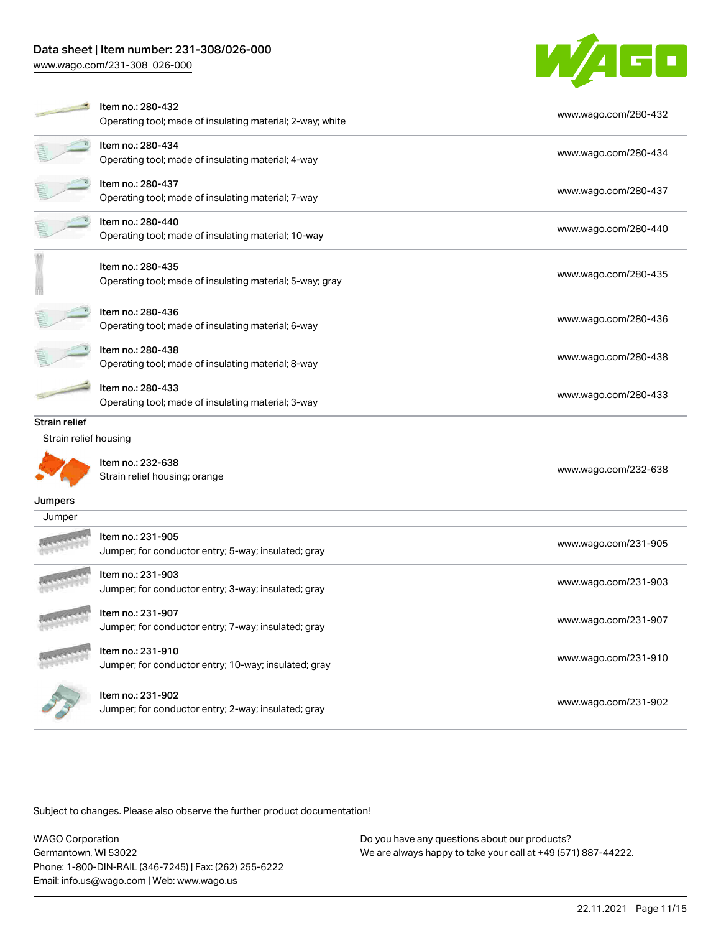# Data sheet | Item number: 231-308/026-000

[www.wago.com/231-308\\_026-000](http://www.wago.com/231-308_026-000)



|                       | Item no.: 280-432                                         | www.wago.com/280-432 |  |
|-----------------------|-----------------------------------------------------------|----------------------|--|
|                       | Operating tool; made of insulating material; 2-way; white |                      |  |
|                       | Item no.: 280-434                                         | www.wago.com/280-434 |  |
|                       | Operating tool; made of insulating material; 4-way        |                      |  |
|                       | Item no.: 280-437                                         | www.wago.com/280-437 |  |
|                       | Operating tool; made of insulating material; 7-way        |                      |  |
|                       | Item no.: 280-440                                         | www.wago.com/280-440 |  |
|                       | Operating tool; made of insulating material; 10-way       |                      |  |
|                       | Item no.: 280-435                                         |                      |  |
|                       | Operating tool; made of insulating material; 5-way; gray  | www.wago.com/280-435 |  |
|                       |                                                           |                      |  |
|                       | Item no.: 280-436                                         | www.wago.com/280-436 |  |
|                       | Operating tool; made of insulating material; 6-way        |                      |  |
|                       | Item no.: 280-438                                         | www.wago.com/280-438 |  |
|                       | Operating tool; made of insulating material; 8-way        |                      |  |
|                       | Item no.: 280-433                                         | www.wago.com/280-433 |  |
|                       | Operating tool; made of insulating material; 3-way        |                      |  |
| Strain relief         |                                                           |                      |  |
| Strain relief housing |                                                           |                      |  |
|                       | Item no.: 232-638                                         |                      |  |
|                       | Strain relief housing; orange                             | www.wago.com/232-638 |  |
| Jumpers               |                                                           |                      |  |
| Jumper                |                                                           |                      |  |
|                       | Item no.: 231-905                                         | www.wago.com/231-905 |  |
|                       | Jumper; for conductor entry; 5-way; insulated; gray       |                      |  |
|                       | Item no.: 231-903                                         |                      |  |
|                       | Jumper; for conductor entry; 3-way; insulated; gray       | www.wago.com/231-903 |  |
|                       | Item no.: 231-907                                         |                      |  |
|                       | Jumper; for conductor entry; 7-way; insulated; gray       | www.wago.com/231-907 |  |
|                       | Item no.: 231-910                                         |                      |  |
|                       | Jumper; for conductor entry; 10-way; insulated; gray      | www.wago.com/231-910 |  |
|                       | Item no.: 231-902                                         |                      |  |
|                       |                                                           |                      |  |
|                       | Jumper; for conductor entry; 2-way; insulated; gray       | www.wago.com/231-902 |  |

Subject to changes. Please also observe the further product documentation!

WAGO Corporation Germantown, WI 53022 Phone: 1-800-DIN-RAIL (346-7245) | Fax: (262) 255-6222 Email: info.us@wago.com | Web: www.wago.us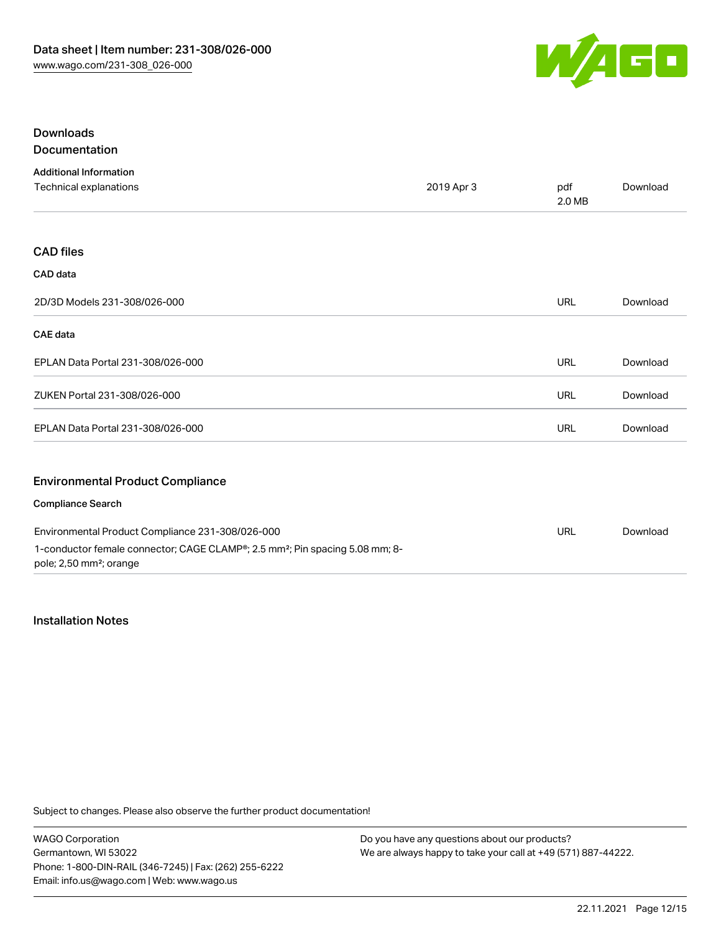

### Downloads Documentation

| <b>Additional Information</b>                                                                                                   |            |               |          |
|---------------------------------------------------------------------------------------------------------------------------------|------------|---------------|----------|
| Technical explanations                                                                                                          | 2019 Apr 3 | pdf<br>2.0 MB | Download |
|                                                                                                                                 |            |               |          |
| <b>CAD files</b>                                                                                                                |            |               |          |
| CAD data                                                                                                                        |            |               |          |
| 2D/3D Models 231-308/026-000                                                                                                    |            | <b>URL</b>    | Download |
| <b>CAE</b> data                                                                                                                 |            |               |          |
| EPLAN Data Portal 231-308/026-000                                                                                               |            | <b>URL</b>    | Download |
| ZUKEN Portal 231-308/026-000                                                                                                    |            | URL           | Download |
| EPLAN Data Portal 231-308/026-000                                                                                               |            | URL           | Download |
|                                                                                                                                 |            |               |          |
| <b>Environmental Product Compliance</b>                                                                                         |            |               |          |
| <b>Compliance Search</b>                                                                                                        |            |               |          |
| Environmental Product Compliance 231-308/026-000                                                                                |            | <b>URL</b>    | Download |
| 1-conductor female connector; CAGE CLAMP®; 2.5 mm <sup>2</sup> ; Pin spacing 5.08 mm; 8-<br>pole; 2,50 mm <sup>2</sup> ; orange |            |               |          |

### Installation Notes

Subject to changes. Please also observe the further product documentation!

WAGO Corporation Germantown, WI 53022 Phone: 1-800-DIN-RAIL (346-7245) | Fax: (262) 255-6222 Email: info.us@wago.com | Web: www.wago.us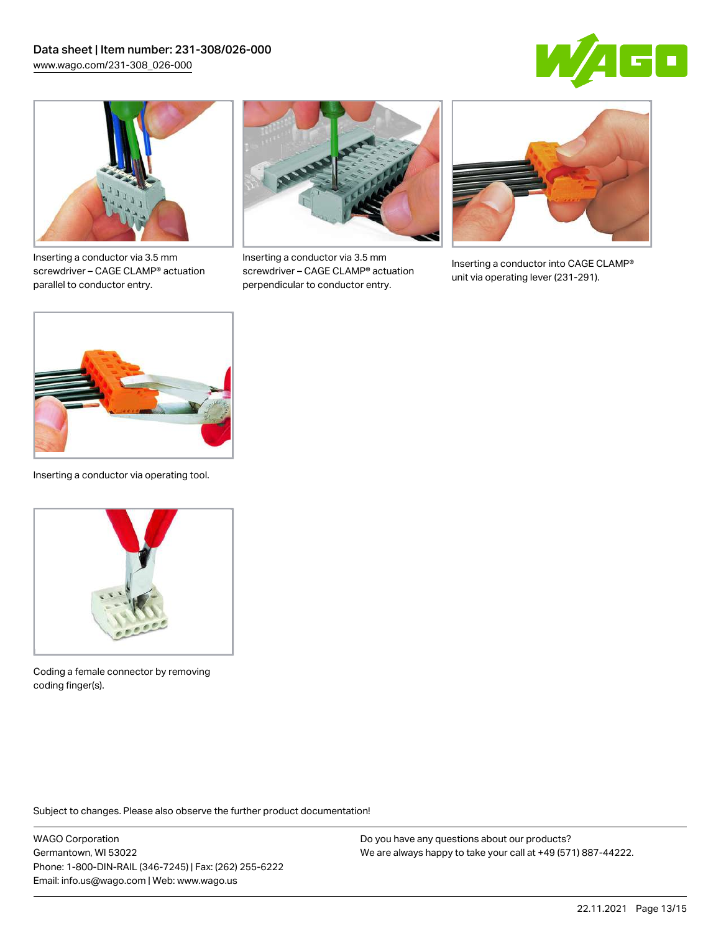



Inserting a conductor via 3.5 mm screwdriver – CAGE CLAMP® actuation parallel to conductor entry.



Inserting a conductor via 3.5 mm screwdriver – CAGE CLAMP® actuation perpendicular to conductor entry.



Inserting a conductor into CAGE CLAMP® unit via operating lever (231-291).



Inserting a conductor via operating tool.



Coding a female connector by removing coding finger(s).

Subject to changes. Please also observe the further product documentation!

WAGO Corporation Germantown, WI 53022 Phone: 1-800-DIN-RAIL (346-7245) | Fax: (262) 255-6222 Email: info.us@wago.com | Web: www.wago.us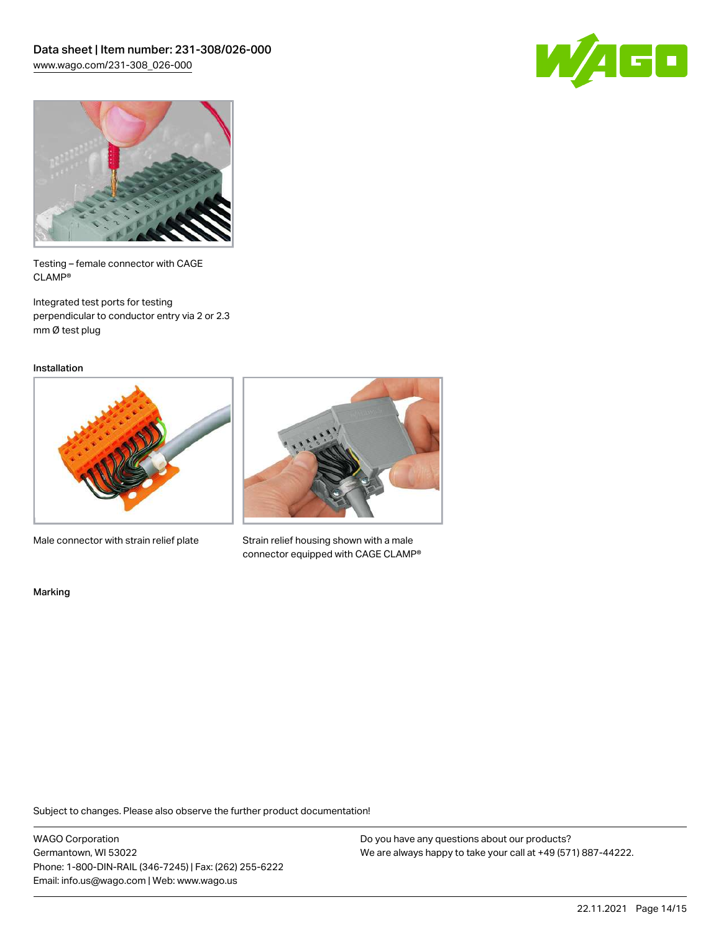



Testing – female connector with CAGE CLAMP®

Integrated test ports for testing perpendicular to conductor entry via 2 or 2.3 mm Ø test plug

Installation



Male connector with strain relief plate



Strain relief housing shown with a male connector equipped with CAGE CLAMP®

Marking

Subject to changes. Please also observe the further product documentation!

WAGO Corporation Germantown, WI 53022 Phone: 1-800-DIN-RAIL (346-7245) | Fax: (262) 255-6222 Email: info.us@wago.com | Web: www.wago.us